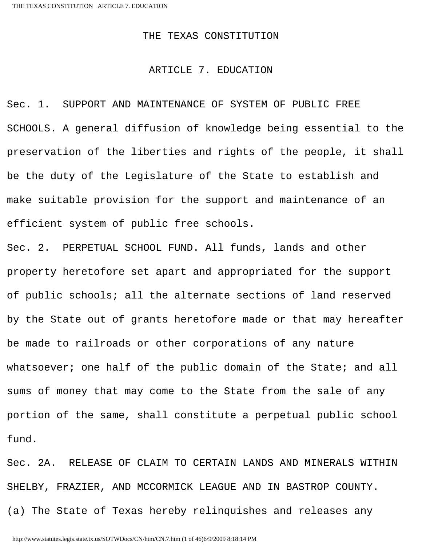# THE TEXAS CONSTITUTION

# ARTICLE 7. EDUCATION

Sec. 1. SUPPORT AND MAINTENANCE OF SYSTEM OF PUBLIC FREE SCHOOLS. A general diffusion of knowledge being essential to the preservation of the liberties and rights of the people, it shall be the duty of the Legislature of the State to establish and make suitable provision for the support and maintenance of an efficient system of public free schools.

Sec. 2. PERPETUAL SCHOOL FUND. All funds, lands and other property heretofore set apart and appropriated for the support of public schools; all the alternate sections of land reserved by the State out of grants heretofore made or that may hereafter be made to railroads or other corporations of any nature whatsoever; one half of the public domain of the State; and all sums of money that may come to the State from the sale of any portion of the same, shall constitute a perpetual public school fund.

Sec. 2A. RELEASE OF CLAIM TO CERTAIN LANDS AND MINERALS WITHIN SHELBY, FRAZIER, AND MCCORMICK LEAGUE AND IN BASTROP COUNTY. (a) The State of Texas hereby relinquishes and releases any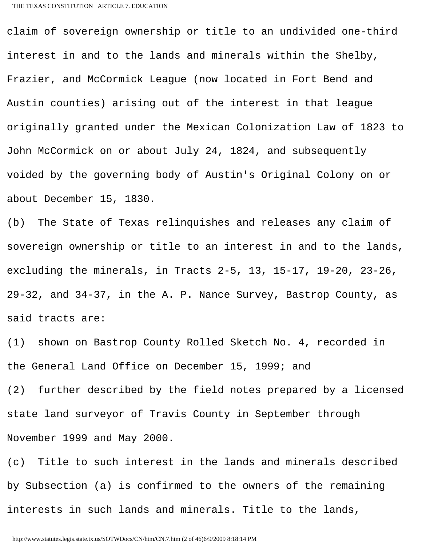claim of sovereign ownership or title to an undivided one-third interest in and to the lands and minerals within the Shelby, Frazier, and McCormick League (now located in Fort Bend and Austin counties) arising out of the interest in that league originally granted under the Mexican Colonization Law of 1823 to John McCormick on or about July 24, 1824, and subsequently voided by the governing body of Austin's Original Colony on or about December 15, 1830.

(b) The State of Texas relinquishes and releases any claim of sovereign ownership or title to an interest in and to the lands, excluding the minerals, in Tracts 2-5, 13, 15-17, 19-20, 23-26, 29-32, and 34-37, in the A. P. Nance Survey, Bastrop County, as said tracts are:

(1) shown on Bastrop County Rolled Sketch No. 4, recorded in the General Land Office on December 15, 1999; and

(2) further described by the field notes prepared by a licensed state land surveyor of Travis County in September through November 1999 and May 2000.

(c) Title to such interest in the lands and minerals described by Subsection (a) is confirmed to the owners of the remaining interests in such lands and minerals. Title to the lands,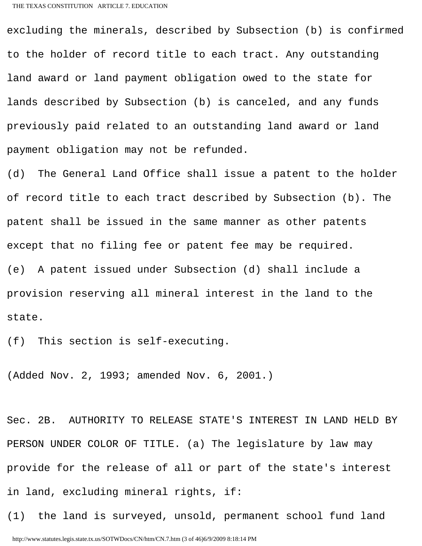excluding the minerals, described by Subsection (b) is confirmed to the holder of record title to each tract. Any outstanding land award or land payment obligation owed to the state for lands described by Subsection (b) is canceled, and any funds previously paid related to an outstanding land award or land payment obligation may not be refunded.

(d) The General Land Office shall issue a patent to the holder of record title to each tract described by Subsection (b). The patent shall be issued in the same manner as other patents except that no filing fee or patent fee may be required. (e) A patent issued under Subsection (d) shall include a provision reserving all mineral interest in the land to the state.

(f) This section is self-executing.

(Added Nov. 2, 1993; amended Nov. 6, 2001.)

Sec. 2B. AUTHORITY TO RELEASE STATE'S INTEREST IN LAND HELD BY PERSON UNDER COLOR OF TITLE. (a) The legislature by law may provide for the release of all or part of the state's interest in land, excluding mineral rights, if:

(1) the land is surveyed, unsold, permanent school fund land http://www.statutes.legis.state.tx.us/SOTWDocs/CN/htm/CN.7.htm (3 of 46)6/9/2009 8:18:14 PM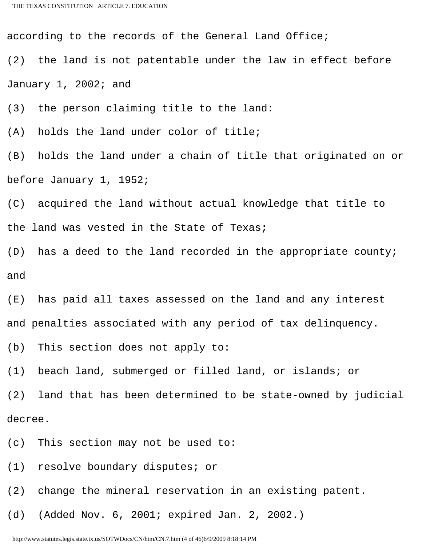according to the records of the General Land Office;

(2) the land is not patentable under the law in effect before January 1, 2002; and

(3) the person claiming title to the land:

(A) holds the land under color of title;

(B) holds the land under a chain of title that originated on or before January 1, 1952;

(C) acquired the land without actual knowledge that title to the land was vested in the State of Texas;

(D) has a deed to the land recorded in the appropriate county; and

(E) has paid all taxes assessed on the land and any interest and penalties associated with any period of tax delinquency.

(b) This section does not apply to:

(1) beach land, submerged or filled land, or islands; or

(2) land that has been determined to be state-owned by judicial decree.

(c) This section may not be used to:

(1) resolve boundary disputes; or

(2) change the mineral reservation in an existing patent.

(d) (Added Nov. 6, 2001; expired Jan. 2, 2002.)

http://www.statutes.legis.state.tx.us/SOTWDocs/CN/htm/CN.7.htm (4 of 46)6/9/2009 8:18:14 PM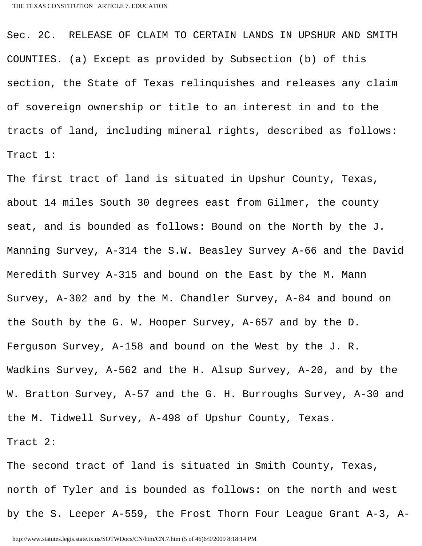Sec. 2C. RELEASE OF CLAIM TO CERTAIN LANDS IN UPSHUR AND SMITH COUNTIES. (a) Except as provided by Subsection (b) of this section, the State of Texas relinquishes and releases any claim of sovereign ownership or title to an interest in and to the tracts of land, including mineral rights, described as follows: Tract 1:

The first tract of land is situated in Upshur County, Texas, about 14 miles South 30 degrees east from Gilmer, the county seat, and is bounded as follows: Bound on the North by the J. Manning Survey, A-314 the S.W. Beasley Survey A-66 and the David Meredith Survey A-315 and bound on the East by the M. Mann Survey, A-302 and by the M. Chandler Survey, A-84 and bound on the South by the G. W. Hooper Survey, A-657 and by the D. Ferguson Survey, A-158 and bound on the West by the J. R. Wadkins Survey, A-562 and the H. Alsup Survey, A-20, and by the W. Bratton Survey, A-57 and the G. H. Burroughs Survey, A-30 and the M. Tidwell Survey, A-498 of Upshur County, Texas. Tract 2:

The second tract of land is situated in Smith County, Texas, north of Tyler and is bounded as follows: on the north and west by the S. Leeper A-559, the Frost Thorn Four League Grant A-3, A-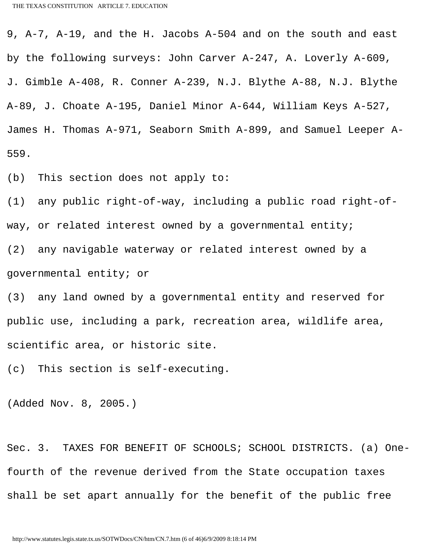9, A-7, A-19, and the H. Jacobs A-504 and on the south and east by the following surveys: John Carver A-247, A. Loverly A-609, J. Gimble A-408, R. Conner A-239, N.J. Blythe A-88, N.J. Blythe A-89, J. Choate A-195, Daniel Minor A-644, William Keys A-527, James H. Thomas A-971, Seaborn Smith A-899, and Samuel Leeper A-559.

(b) This section does not apply to:

(1) any public right-of-way, including a public road right-ofway, or related interest owned by a governmental entity; (2) any navigable waterway or related interest owned by a governmental entity; or

(3) any land owned by a governmental entity and reserved for public use, including a park, recreation area, wildlife area, scientific area, or historic site.

(c) This section is self-executing.

(Added Nov. 8, 2005.)

Sec. 3. TAXES FOR BENEFIT OF SCHOOLS; SCHOOL DISTRICTS. (a) Onefourth of the revenue derived from the State occupation taxes shall be set apart annually for the benefit of the public free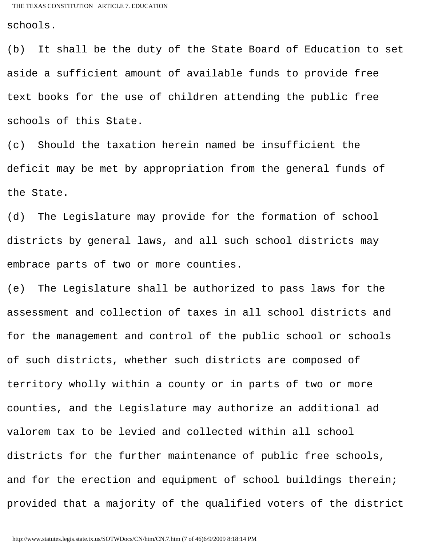schools.

(b) It shall be the duty of the State Board of Education to set aside a sufficient amount of available funds to provide free text books for the use of children attending the public free schools of this State.

(c) Should the taxation herein named be insufficient the deficit may be met by appropriation from the general funds of the State.

(d) The Legislature may provide for the formation of school districts by general laws, and all such school districts may embrace parts of two or more counties.

(e) The Legislature shall be authorized to pass laws for the assessment and collection of taxes in all school districts and for the management and control of the public school or schools of such districts, whether such districts are composed of territory wholly within a county or in parts of two or more counties, and the Legislature may authorize an additional ad valorem tax to be levied and collected within all school districts for the further maintenance of public free schools, and for the erection and equipment of school buildings therein; provided that a majority of the qualified voters of the district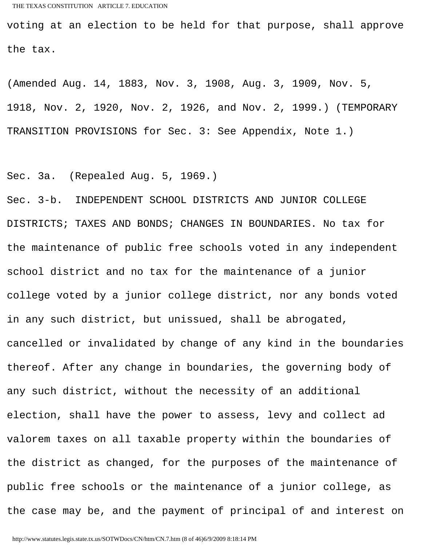voting at an election to be held for that purpose, shall approve the tax.

(Amended Aug. 14, 1883, Nov. 3, 1908, Aug. 3, 1909, Nov. 5, 1918, Nov. 2, 1920, Nov. 2, 1926, and Nov. 2, 1999.) (TEMPORARY TRANSITION PROVISIONS for Sec. 3: See Appendix, Note 1.)

Sec. 3a. (Repealed Aug. 5, 1969.)

Sec. 3-b. INDEPENDENT SCHOOL DISTRICTS AND JUNIOR COLLEGE DISTRICTS; TAXES AND BONDS; CHANGES IN BOUNDARIES. No tax for the maintenance of public free schools voted in any independent school district and no tax for the maintenance of a junior college voted by a junior college district, nor any bonds voted in any such district, but unissued, shall be abrogated, cancelled or invalidated by change of any kind in the boundaries thereof. After any change in boundaries, the governing body of any such district, without the necessity of an additional election, shall have the power to assess, levy and collect ad valorem taxes on all taxable property within the boundaries of the district as changed, for the purposes of the maintenance of public free schools or the maintenance of a junior college, as the case may be, and the payment of principal of and interest on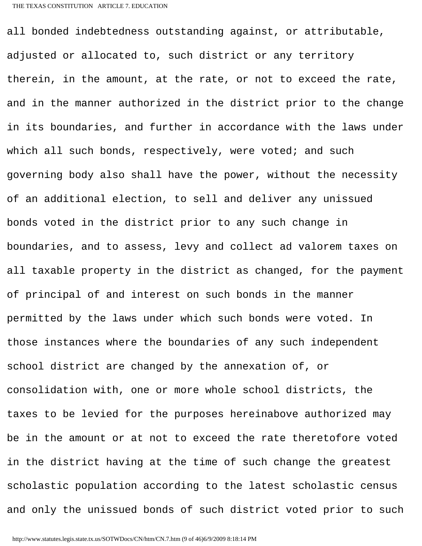all bonded indebtedness outstanding against, or attributable, adjusted or allocated to, such district or any territory therein, in the amount, at the rate, or not to exceed the rate, and in the manner authorized in the district prior to the change in its boundaries, and further in accordance with the laws under which all such bonds, respectively, were voted; and such governing body also shall have the power, without the necessity of an additional election, to sell and deliver any unissued bonds voted in the district prior to any such change in boundaries, and to assess, levy and collect ad valorem taxes on all taxable property in the district as changed, for the payment of principal of and interest on such bonds in the manner permitted by the laws under which such bonds were voted. In those instances where the boundaries of any such independent school district are changed by the annexation of, or consolidation with, one or more whole school districts, the taxes to be levied for the purposes hereinabove authorized may be in the amount or at not to exceed the rate theretofore voted in the district having at the time of such change the greatest scholastic population according to the latest scholastic census and only the unissued bonds of such district voted prior to such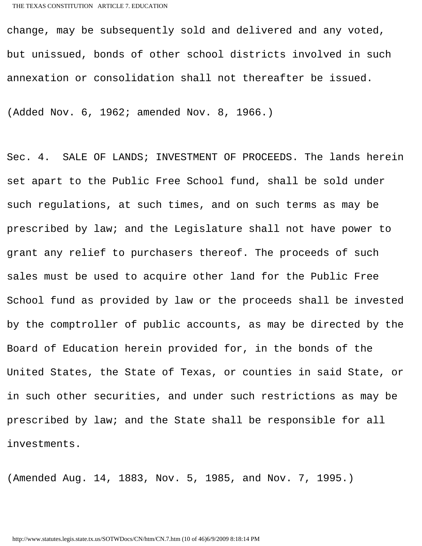change, may be subsequently sold and delivered and any voted, but unissued, bonds of other school districts involved in such annexation or consolidation shall not thereafter be issued.

(Added Nov. 6, 1962; amended Nov. 8, 1966.)

Sec. 4. SALE OF LANDS; INVESTMENT OF PROCEEDS. The lands herein set apart to the Public Free School fund, shall be sold under such regulations, at such times, and on such terms as may be prescribed by law; and the Legislature shall not have power to grant any relief to purchasers thereof. The proceeds of such sales must be used to acquire other land for the Public Free School fund as provided by law or the proceeds shall be invested by the comptroller of public accounts, as may be directed by the Board of Education herein provided for, in the bonds of the United States, the State of Texas, or counties in said State, or in such other securities, and under such restrictions as may be prescribed by law; and the State shall be responsible for all investments.

(Amended Aug. 14, 1883, Nov. 5, 1985, and Nov. 7, 1995.)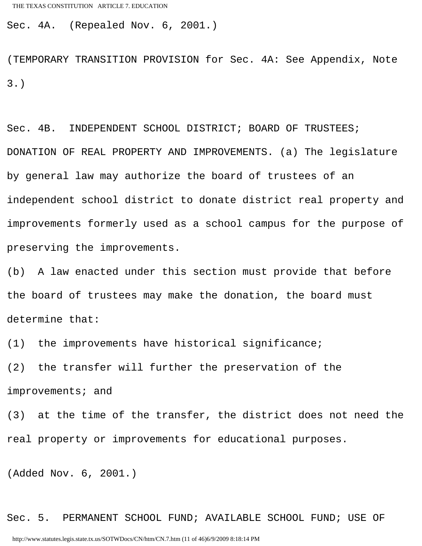Sec. 4A. (Repealed Nov. 6, 2001.)

(TEMPORARY TRANSITION PROVISION for Sec. 4A: See Appendix, Note 3.)

Sec. 4B. INDEPENDENT SCHOOL DISTRICT; BOARD OF TRUSTEES; DONATION OF REAL PROPERTY AND IMPROVEMENTS. (a) The legislature by general law may authorize the board of trustees of an independent school district to donate district real property and improvements formerly used as a school campus for the purpose of preserving the improvements.

(b) A law enacted under this section must provide that before the board of trustees may make the donation, the board must determine that:

(1) the improvements have historical significance;

(2) the transfer will further the preservation of the improvements; and

(3) at the time of the transfer, the district does not need the real property or improvements for educational purposes.

(Added Nov. 6, 2001.)

Sec. 5. PERMANENT SCHOOL FUND; AVAILABLE SCHOOL FUND; USE OF http://www.statutes.legis.state.tx.us/SOTWDocs/CN/htm/CN.7.htm (11 of 46)6/9/2009 8:18:14 PM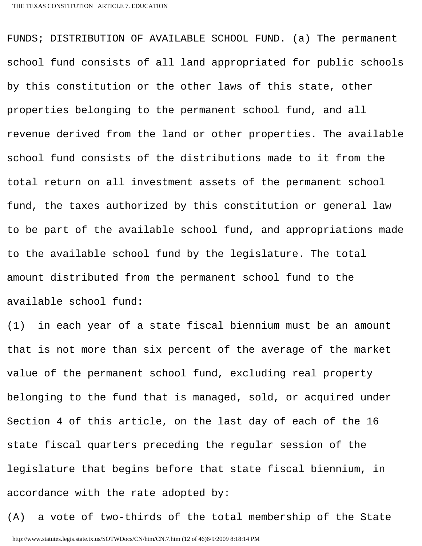FUNDS; DISTRIBUTION OF AVAILABLE SCHOOL FUND. (a) The permanent school fund consists of all land appropriated for public schools by this constitution or the other laws of this state, other properties belonging to the permanent school fund, and all revenue derived from the land or other properties. The available school fund consists of the distributions made to it from the total return on all investment assets of the permanent school fund, the taxes authorized by this constitution or general law to be part of the available school fund, and appropriations made to the available school fund by the legislature. The total amount distributed from the permanent school fund to the available school fund:

(1) in each year of a state fiscal biennium must be an amount that is not more than six percent of the average of the market value of the permanent school fund, excluding real property belonging to the fund that is managed, sold, or acquired under Section 4 of this article, on the last day of each of the 16 state fiscal quarters preceding the regular session of the legislature that begins before that state fiscal biennium, in accordance with the rate adopted by:

(A) a vote of two-thirds of the total membership of the State http://www.statutes.legis.state.tx.us/SOTWDocs/CN/htm/CN.7.htm (12 of 46)6/9/2009 8:18:14 PM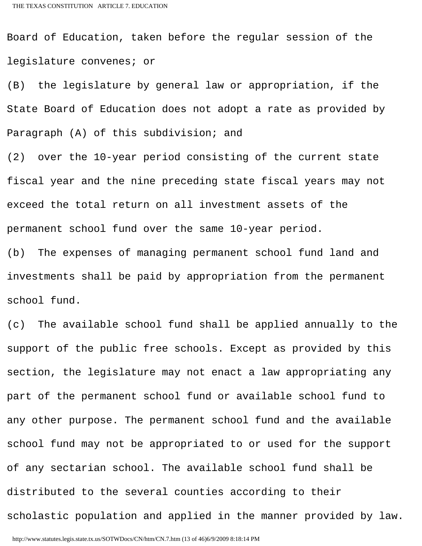Board of Education, taken before the regular session of the legislature convenes; or

(B) the legislature by general law or appropriation, if the State Board of Education does not adopt a rate as provided by Paragraph (A) of this subdivision; and

(2) over the 10-year period consisting of the current state fiscal year and the nine preceding state fiscal years may not exceed the total return on all investment assets of the permanent school fund over the same 10-year period.

(b) The expenses of managing permanent school fund land and investments shall be paid by appropriation from the permanent school fund.

(c) The available school fund shall be applied annually to the support of the public free schools. Except as provided by this section, the legislature may not enact a law appropriating any part of the permanent school fund or available school fund to any other purpose. The permanent school fund and the available school fund may not be appropriated to or used for the support of any sectarian school. The available school fund shall be distributed to the several counties according to their scholastic population and applied in the manner provided by law.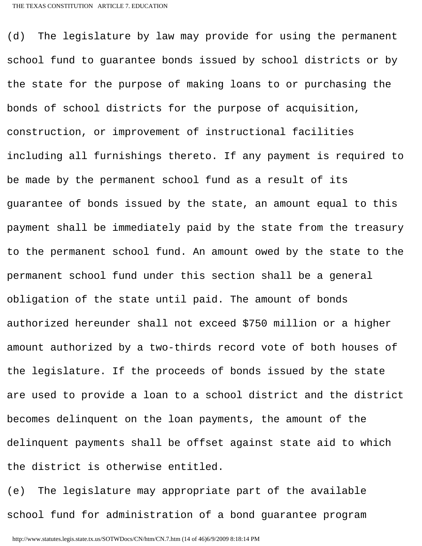(d) The legislature by law may provide for using the permanent school fund to guarantee bonds issued by school districts or by the state for the purpose of making loans to or purchasing the bonds of school districts for the purpose of acquisition, construction, or improvement of instructional facilities including all furnishings thereto. If any payment is required to be made by the permanent school fund as a result of its guarantee of bonds issued by the state, an amount equal to this payment shall be immediately paid by the state from the treasury to the permanent school fund. An amount owed by the state to the permanent school fund under this section shall be a general obligation of the state until paid. The amount of bonds authorized hereunder shall not exceed \$750 million or a higher amount authorized by a two-thirds record vote of both houses of the legislature. If the proceeds of bonds issued by the state are used to provide a loan to a school district and the district becomes delinquent on the loan payments, the amount of the delinquent payments shall be offset against state aid to which the district is otherwise entitled.

(e) The legislature may appropriate part of the available school fund for administration of a bond guarantee program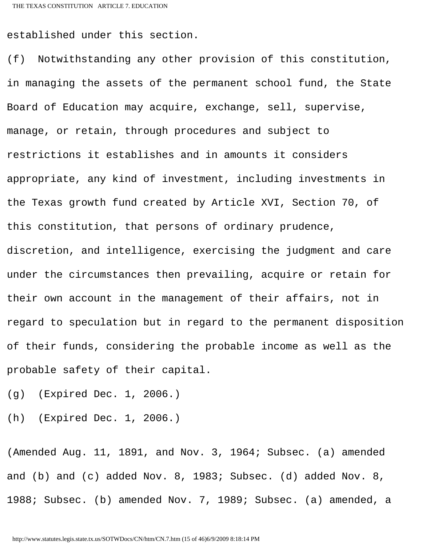established under this section.

(f) Notwithstanding any other provision of this constitution, in managing the assets of the permanent school fund, the State Board of Education may acquire, exchange, sell, supervise, manage, or retain, through procedures and subject to restrictions it establishes and in amounts it considers appropriate, any kind of investment, including investments in the Texas growth fund created by Article XVI, Section 70, of this constitution, that persons of ordinary prudence, discretion, and intelligence, exercising the judgment and care under the circumstances then prevailing, acquire or retain for their own account in the management of their affairs, not in regard to speculation but in regard to the permanent disposition of their funds, considering the probable income as well as the probable safety of their capital.

(g) (Expired Dec. 1, 2006.)

(h) (Expired Dec. 1, 2006.)

(Amended Aug. 11, 1891, and Nov. 3, 1964; Subsec. (a) amended and (b) and (c) added Nov. 8, 1983; Subsec. (d) added Nov. 8, 1988; Subsec. (b) amended Nov. 7, 1989; Subsec. (a) amended, a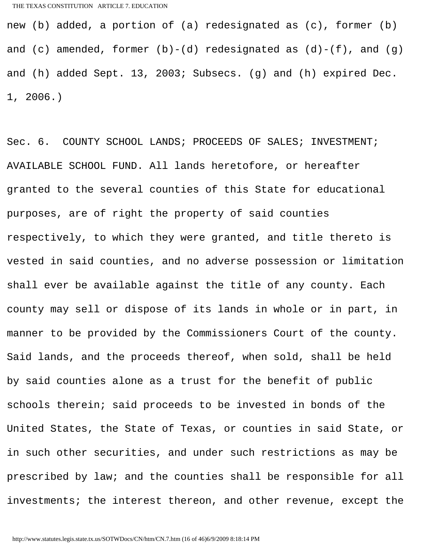new (b) added, a portion of (a) redesignated as (c), former (b) and  $(c)$  amended, former  $(b)-(d)$  redesignated as  $(d)-(f)$ , and  $(g)$ and (h) added Sept. 13, 2003; Subsecs. (g) and (h) expired Dec. 1, 2006.)

Sec. 6. COUNTY SCHOOL LANDS; PROCEEDS OF SALES; INVESTMENT; AVAILABLE SCHOOL FUND. All lands heretofore, or hereafter granted to the several counties of this State for educational purposes, are of right the property of said counties respectively, to which they were granted, and title thereto is vested in said counties, and no adverse possession or limitation shall ever be available against the title of any county. Each county may sell or dispose of its lands in whole or in part, in manner to be provided by the Commissioners Court of the county. Said lands, and the proceeds thereof, when sold, shall be held by said counties alone as a trust for the benefit of public schools therein; said proceeds to be invested in bonds of the United States, the State of Texas, or counties in said State, or in such other securities, and under such restrictions as may be prescribed by law; and the counties shall be responsible for all investments; the interest thereon, and other revenue, except the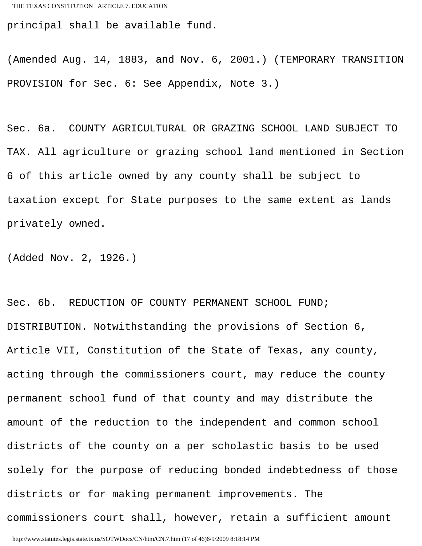principal shall be available fund.

(Amended Aug. 14, 1883, and Nov. 6, 2001.) (TEMPORARY TRANSITION PROVISION for Sec. 6: See Appendix, Note 3.)

Sec. 6a. COUNTY AGRICULTURAL OR GRAZING SCHOOL LAND SUBJECT TO TAX. All agriculture or grazing school land mentioned in Section 6 of this article owned by any county shall be subject to taxation except for State purposes to the same extent as lands privately owned.

(Added Nov. 2, 1926.)

Sec. 6b. REDUCTION OF COUNTY PERMANENT SCHOOL FUND; DISTRIBUTION. Notwithstanding the provisions of Section 6, Article VII, Constitution of the State of Texas, any county, acting through the commissioners court, may reduce the county permanent school fund of that county and may distribute the amount of the reduction to the independent and common school districts of the county on a per scholastic basis to be used solely for the purpose of reducing bonded indebtedness of those districts or for making permanent improvements. The commissioners court shall, however, retain a sufficient amount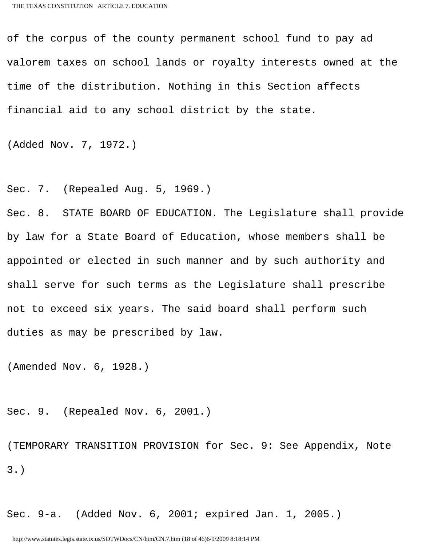of the corpus of the county permanent school fund to pay ad valorem taxes on school lands or royalty interests owned at the time of the distribution. Nothing in this Section affects financial aid to any school district by the state.

(Added Nov. 7, 1972.)

Sec. 7. (Repealed Aug. 5, 1969.)

Sec. 8. STATE BOARD OF EDUCATION. The Legislature shall provide by law for a State Board of Education, whose members shall be appointed or elected in such manner and by such authority and shall serve for such terms as the Legislature shall prescribe not to exceed six years. The said board shall perform such duties as may be prescribed by law.

(Amended Nov. 6, 1928.)

Sec. 9. (Repealed Nov. 6, 2001.)

(TEMPORARY TRANSITION PROVISION for Sec. 9: See Appendix, Note 3.)

Sec. 9-a. (Added Nov. 6, 2001; expired Jan. 1, 2005.)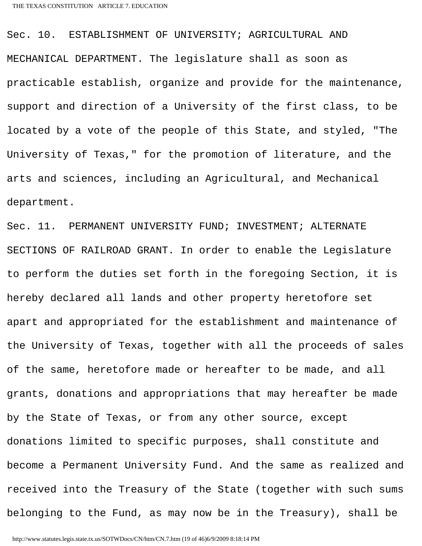Sec. 10. ESTABLISHMENT OF UNIVERSITY; AGRICULTURAL AND MECHANICAL DEPARTMENT. The legislature shall as soon as practicable establish, organize and provide for the maintenance, support and direction of a University of the first class, to be located by a vote of the people of this State, and styled, "The University of Texas," for the promotion of literature, and the arts and sciences, including an Agricultural, and Mechanical department.

Sec. 11. PERMANENT UNIVERSITY FUND; INVESTMENT; ALTERNATE SECTIONS OF RAILROAD GRANT. In order to enable the Legislature to perform the duties set forth in the foregoing Section, it is hereby declared all lands and other property heretofore set apart and appropriated for the establishment and maintenance of the University of Texas, together with all the proceeds of sales of the same, heretofore made or hereafter to be made, and all grants, donations and appropriations that may hereafter be made by the State of Texas, or from any other source, except donations limited to specific purposes, shall constitute and become a Permanent University Fund. And the same as realized and received into the Treasury of the State (together with such sums belonging to the Fund, as may now be in the Treasury), shall be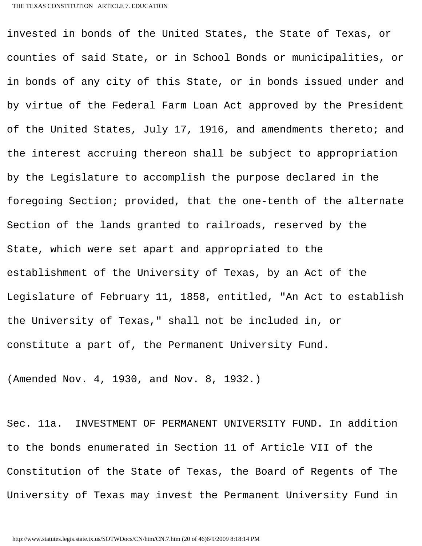invested in bonds of the United States, the State of Texas, or counties of said State, or in School Bonds or municipalities, or in bonds of any city of this State, or in bonds issued under and by virtue of the Federal Farm Loan Act approved by the President of the United States, July 17, 1916, and amendments thereto; and the interest accruing thereon shall be subject to appropriation by the Legislature to accomplish the purpose declared in the foregoing Section; provided, that the one-tenth of the alternate Section of the lands granted to railroads, reserved by the State, which were set apart and appropriated to the establishment of the University of Texas, by an Act of the Legislature of February 11, 1858, entitled, "An Act to establish the University of Texas," shall not be included in, or constitute a part of, the Permanent University Fund.

(Amended Nov. 4, 1930, and Nov. 8, 1932.)

Sec. 11a. INVESTMENT OF PERMANENT UNIVERSITY FUND. In addition to the bonds enumerated in Section 11 of Article VII of the Constitution of the State of Texas, the Board of Regents of The University of Texas may invest the Permanent University Fund in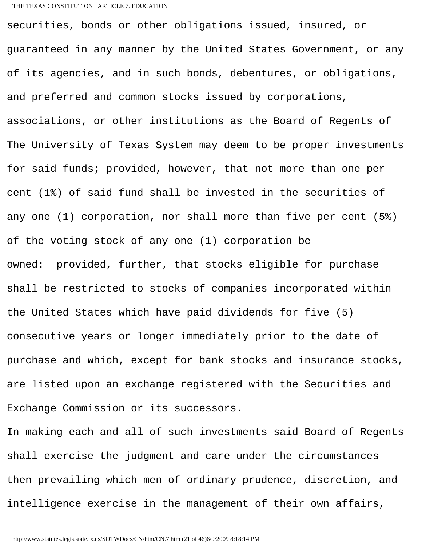## THE TEXAS CONSTITUTION ARTICLE 7. EDUCATION

securities, bonds or other obligations issued, insured, or guaranteed in any manner by the United States Government, or any of its agencies, and in such bonds, debentures, or obligations, and preferred and common stocks issued by corporations, associations, or other institutions as the Board of Regents of The University of Texas System may deem to be proper investments for said funds; provided, however, that not more than one per cent (1%) of said fund shall be invested in the securities of any one (1) corporation, nor shall more than five per cent (5%) of the voting stock of any one (1) corporation be owned: provided, further, that stocks eligible for purchase shall be restricted to stocks of companies incorporated within the United States which have paid dividends for five (5) consecutive years or longer immediately prior to the date of purchase and which, except for bank stocks and insurance stocks, are listed upon an exchange registered with the Securities and Exchange Commission or its successors.

In making each and all of such investments said Board of Regents shall exercise the judgment and care under the circumstances then prevailing which men of ordinary prudence, discretion, and intelligence exercise in the management of their own affairs,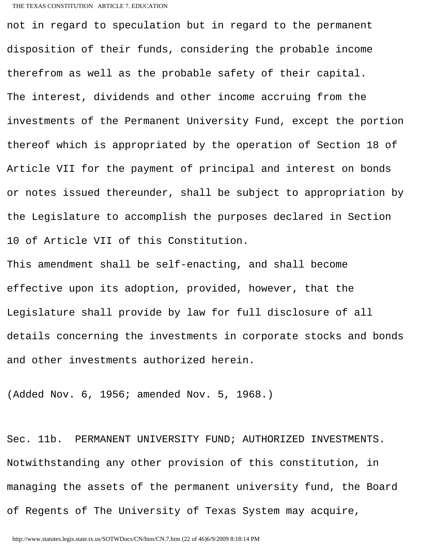## THE TEXAS CONSTITUTION ARTICLE 7. EDUCATION

not in regard to speculation but in regard to the permanent disposition of their funds, considering the probable income therefrom as well as the probable safety of their capital. The interest, dividends and other income accruing from the investments of the Permanent University Fund, except the portion thereof which is appropriated by the operation of Section 18 of Article VII for the payment of principal and interest on bonds or notes issued thereunder, shall be subject to appropriation by the Legislature to accomplish the purposes declared in Section 10 of Article VII of this Constitution.

This amendment shall be self-enacting, and shall become effective upon its adoption, provided, however, that the Legislature shall provide by law for full disclosure of all details concerning the investments in corporate stocks and bonds and other investments authorized herein.

(Added Nov. 6, 1956; amended Nov. 5, 1968.)

Sec. 11b. PERMANENT UNIVERSITY FUND; AUTHORIZED INVESTMENTS. Notwithstanding any other provision of this constitution, in managing the assets of the permanent university fund, the Board of Regents of The University of Texas System may acquire,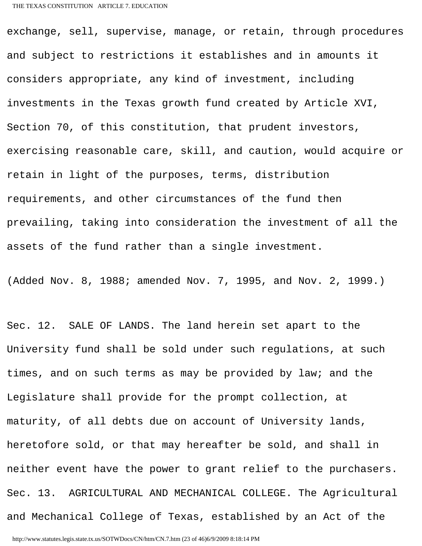exchange, sell, supervise, manage, or retain, through procedures and subject to restrictions it establishes and in amounts it considers appropriate, any kind of investment, including investments in the Texas growth fund created by Article XVI, Section 70, of this constitution, that prudent investors, exercising reasonable care, skill, and caution, would acquire or retain in light of the purposes, terms, distribution requirements, and other circumstances of the fund then prevailing, taking into consideration the investment of all the assets of the fund rather than a single investment.

(Added Nov. 8, 1988; amended Nov. 7, 1995, and Nov. 2, 1999.)

Sec. 12. SALE OF LANDS. The land herein set apart to the University fund shall be sold under such regulations, at such times, and on such terms as may be provided by law; and the Legislature shall provide for the prompt collection, at maturity, of all debts due on account of University lands, heretofore sold, or that may hereafter be sold, and shall in neither event have the power to grant relief to the purchasers. Sec. 13. AGRICULTURAL AND MECHANICAL COLLEGE. The Agricultural and Mechanical College of Texas, established by an Act of the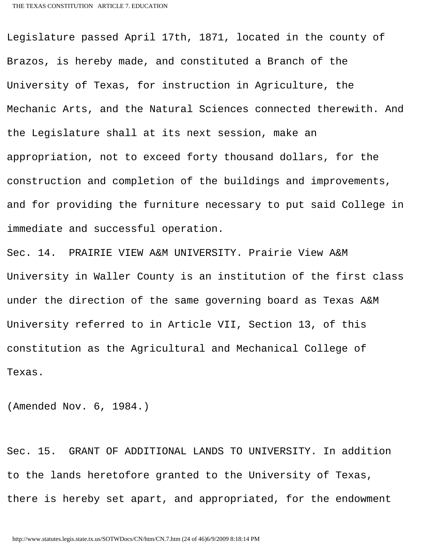Legislature passed April 17th, 1871, located in the county of Brazos, is hereby made, and constituted a Branch of the University of Texas, for instruction in Agriculture, the Mechanic Arts, and the Natural Sciences connected therewith. And the Legislature shall at its next session, make an appropriation, not to exceed forty thousand dollars, for the construction and completion of the buildings and improvements, and for providing the furniture necessary to put said College in immediate and successful operation.

Sec. 14. PRAIRIE VIEW A&M UNIVERSITY. Prairie View A&M University in Waller County is an institution of the first class under the direction of the same governing board as Texas A&M University referred to in Article VII, Section 13, of this constitution as the Agricultural and Mechanical College of Texas.

(Amended Nov. 6, 1984.)

Sec. 15. GRANT OF ADDITIONAL LANDS TO UNIVERSITY. In addition to the lands heretofore granted to the University of Texas, there is hereby set apart, and appropriated, for the endowment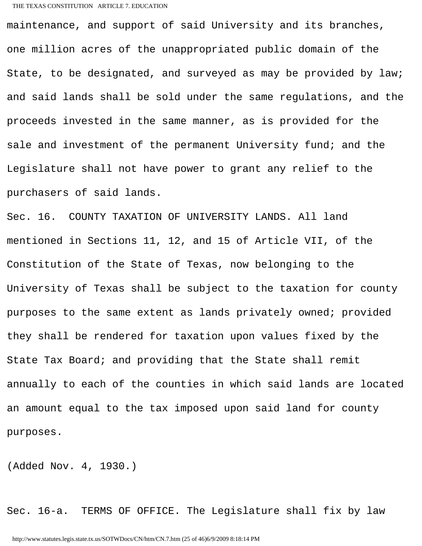## THE TEXAS CONSTITUTION ARTICLE 7. EDUCATION

maintenance, and support of said University and its branches, one million acres of the unappropriated public domain of the State, to be designated, and surveyed as may be provided by law; and said lands shall be sold under the same regulations, and the proceeds invested in the same manner, as is provided for the sale and investment of the permanent University fund; and the Legislature shall not have power to grant any relief to the purchasers of said lands.

Sec. 16. COUNTY TAXATION OF UNIVERSITY LANDS. All land mentioned in Sections 11, 12, and 15 of Article VII, of the Constitution of the State of Texas, now belonging to the University of Texas shall be subject to the taxation for county purposes to the same extent as lands privately owned; provided they shall be rendered for taxation upon values fixed by the State Tax Board; and providing that the State shall remit annually to each of the counties in which said lands are located an amount equal to the tax imposed upon said land for county purposes.

(Added Nov. 4, 1930.)

Sec. 16-a. TERMS OF OFFICE. The Legislature shall fix by law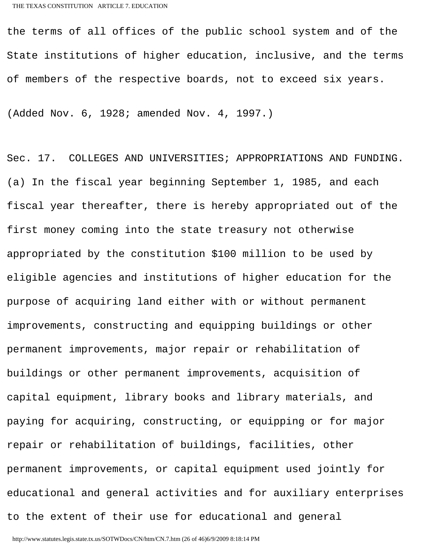the terms of all offices of the public school system and of the State institutions of higher education, inclusive, and the terms of members of the respective boards, not to exceed six years.

(Added Nov. 6, 1928; amended Nov. 4, 1997.)

Sec. 17. COLLEGES AND UNIVERSITIES; APPROPRIATIONS AND FUNDING. (a) In the fiscal year beginning September 1, 1985, and each fiscal year thereafter, there is hereby appropriated out of the first money coming into the state treasury not otherwise appropriated by the constitution \$100 million to be used by eligible agencies and institutions of higher education for the purpose of acquiring land either with or without permanent improvements, constructing and equipping buildings or other permanent improvements, major repair or rehabilitation of buildings or other permanent improvements, acquisition of capital equipment, library books and library materials, and paying for acquiring, constructing, or equipping or for major repair or rehabilitation of buildings, facilities, other permanent improvements, or capital equipment used jointly for educational and general activities and for auxiliary enterprises to the extent of their use for educational and general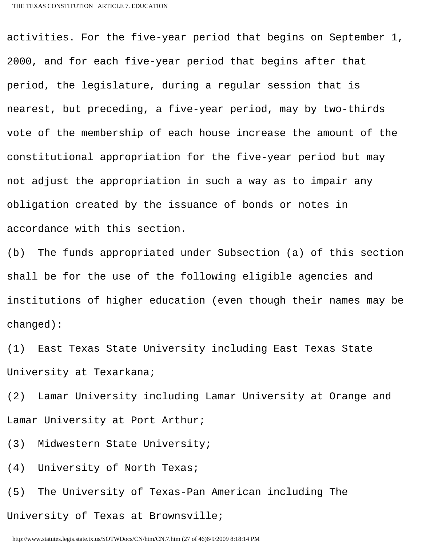activities. For the five-year period that begins on September 1, 2000, and for each five-year period that begins after that period, the legislature, during a regular session that is nearest, but preceding, a five-year period, may by two-thirds vote of the membership of each house increase the amount of the constitutional appropriation for the five-year period but may not adjust the appropriation in such a way as to impair any obligation created by the issuance of bonds or notes in accordance with this section.

(b) The funds appropriated under Subsection (a) of this section shall be for the use of the following eligible agencies and institutions of higher education (even though their names may be changed):

(1) East Texas State University including East Texas State University at Texarkana;

(2) Lamar University including Lamar University at Orange and Lamar University at Port Arthur;

(3) Midwestern State University;

(4) University of North Texas;

(5) The University of Texas-Pan American including The University of Texas at Brownsville;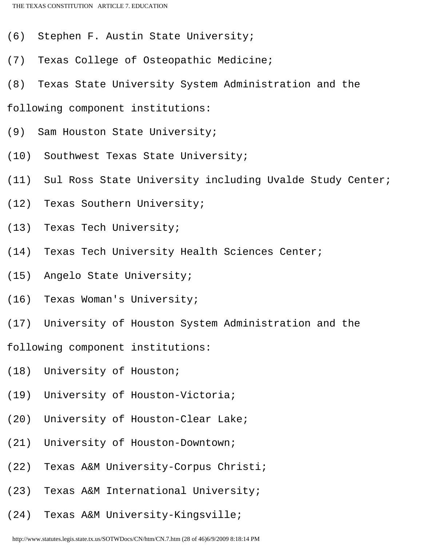- (6) Stephen F. Austin State University;
- (7) Texas College of Osteopathic Medicine;
- (8) Texas State University System Administration and the
- following component institutions:
- (9) Sam Houston State University;
- (10) Southwest Texas State University;
- (11) Sul Ross State University including Uvalde Study Center;
- (12) Texas Southern University;
- (13) Texas Tech University;
- (14) Texas Tech University Health Sciences Center;
- (15) Angelo State University;
- (16) Texas Woman's University;
- (17) University of Houston System Administration and the
- following component institutions:
- (18) University of Houston;
- (19) University of Houston-Victoria;
- (20) University of Houston-Clear Lake;
- (21) University of Houston-Downtown;
- (22) Texas A&M University-Corpus Christi;
- (23) Texas A&M International University;
- (24) Texas A&M University-Kingsville;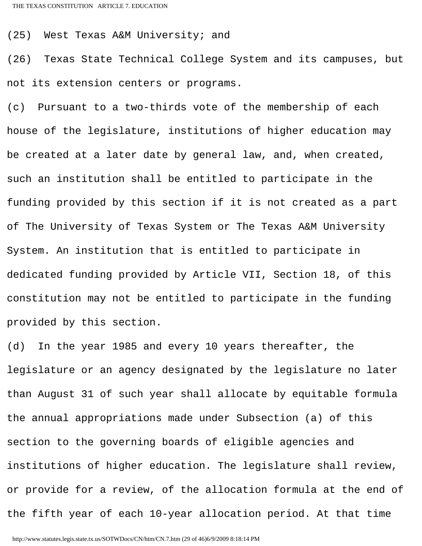(25) West Texas A&M University; and

(26) Texas State Technical College System and its campuses, but not its extension centers or programs.

(c) Pursuant to a two-thirds vote of the membership of each house of the legislature, institutions of higher education may be created at a later date by general law, and, when created, such an institution shall be entitled to participate in the funding provided by this section if it is not created as a part of The University of Texas System or The Texas A&M University System. An institution that is entitled to participate in dedicated funding provided by Article VII, Section 18, of this constitution may not be entitled to participate in the funding provided by this section.

(d) In the year 1985 and every 10 years thereafter, the legislature or an agency designated by the legislature no later than August 31 of such year shall allocate by equitable formula the annual appropriations made under Subsection (a) of this section to the governing boards of eligible agencies and institutions of higher education. The legislature shall review, or provide for a review, of the allocation formula at the end of the fifth year of each 10-year allocation period. At that time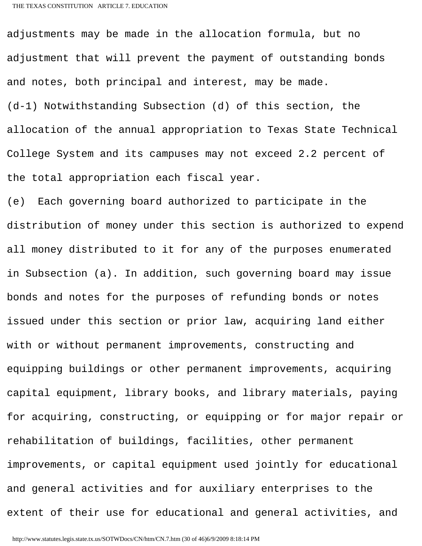adjustments may be made in the allocation formula, but no adjustment that will prevent the payment of outstanding bonds and notes, both principal and interest, may be made. (d-1) Notwithstanding Subsection (d) of this section, the allocation of the annual appropriation to Texas State Technical College System and its campuses may not exceed 2.2 percent of the total appropriation each fiscal year.

(e) Each governing board authorized to participate in the distribution of money under this section is authorized to expend all money distributed to it for any of the purposes enumerated in Subsection (a). In addition, such governing board may issue bonds and notes for the purposes of refunding bonds or notes issued under this section or prior law, acquiring land either with or without permanent improvements, constructing and equipping buildings or other permanent improvements, acquiring capital equipment, library books, and library materials, paying for acquiring, constructing, or equipping or for major repair or rehabilitation of buildings, facilities, other permanent improvements, or capital equipment used jointly for educational and general activities and for auxiliary enterprises to the extent of their use for educational and general activities, and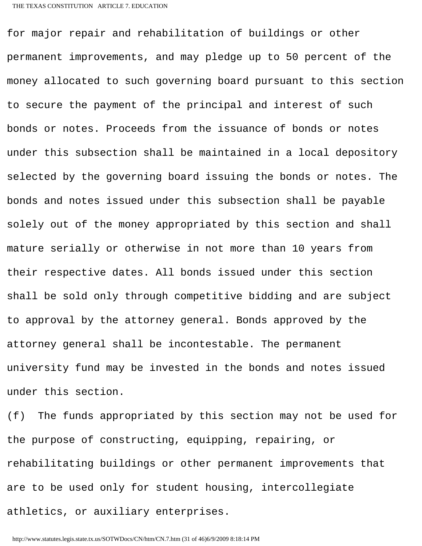for major repair and rehabilitation of buildings or other permanent improvements, and may pledge up to 50 percent of the money allocated to such governing board pursuant to this section to secure the payment of the principal and interest of such bonds or notes. Proceeds from the issuance of bonds or notes under this subsection shall be maintained in a local depository selected by the governing board issuing the bonds or notes. The bonds and notes issued under this subsection shall be payable solely out of the money appropriated by this section and shall mature serially or otherwise in not more than 10 years from their respective dates. All bonds issued under this section shall be sold only through competitive bidding and are subject to approval by the attorney general. Bonds approved by the attorney general shall be incontestable. The permanent university fund may be invested in the bonds and notes issued under this section.

(f) The funds appropriated by this section may not be used for the purpose of constructing, equipping, repairing, or rehabilitating buildings or other permanent improvements that are to be used only for student housing, intercollegiate athletics, or auxiliary enterprises.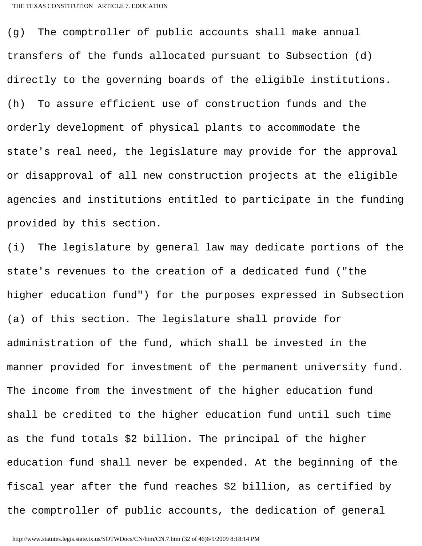(g) The comptroller of public accounts shall make annual transfers of the funds allocated pursuant to Subsection (d) directly to the governing boards of the eligible institutions. (h) To assure efficient use of construction funds and the orderly development of physical plants to accommodate the state's real need, the legislature may provide for the approval or disapproval of all new construction projects at the eligible agencies and institutions entitled to participate in the funding provided by this section.

(i) The legislature by general law may dedicate portions of the state's revenues to the creation of a dedicated fund ("the higher education fund") for the purposes expressed in Subsection (a) of this section. The legislature shall provide for administration of the fund, which shall be invested in the manner provided for investment of the permanent university fund. The income from the investment of the higher education fund shall be credited to the higher education fund until such time as the fund totals \$2 billion. The principal of the higher education fund shall never be expended. At the beginning of the fiscal year after the fund reaches \$2 billion, as certified by the comptroller of public accounts, the dedication of general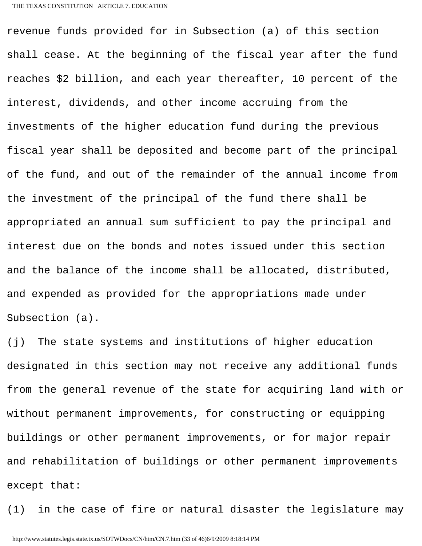revenue funds provided for in Subsection (a) of this section shall cease. At the beginning of the fiscal year after the fund reaches \$2 billion, and each year thereafter, 10 percent of the interest, dividends, and other income accruing from the investments of the higher education fund during the previous fiscal year shall be deposited and become part of the principal of the fund, and out of the remainder of the annual income from the investment of the principal of the fund there shall be appropriated an annual sum sufficient to pay the principal and interest due on the bonds and notes issued under this section and the balance of the income shall be allocated, distributed, and expended as provided for the appropriations made under Subsection (a).

(j) The state systems and institutions of higher education designated in this section may not receive any additional funds from the general revenue of the state for acquiring land with or without permanent improvements, for constructing or equipping buildings or other permanent improvements, or for major repair and rehabilitation of buildings or other permanent improvements except that:

(1) in the case of fire or natural disaster the legislature may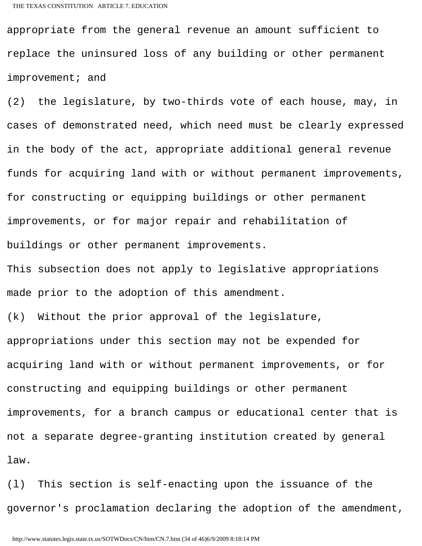appropriate from the general revenue an amount sufficient to replace the uninsured loss of any building or other permanent improvement; and

(2) the legislature, by two-thirds vote of each house, may, in cases of demonstrated need, which need must be clearly expressed in the body of the act, appropriate additional general revenue funds for acquiring land with or without permanent improvements, for constructing or equipping buildings or other permanent improvements, or for major repair and rehabilitation of buildings or other permanent improvements.

This subsection does not apply to legislative appropriations made prior to the adoption of this amendment.

(k) Without the prior approval of the legislature, appropriations under this section may not be expended for acquiring land with or without permanent improvements, or for constructing and equipping buildings or other permanent improvements, for a branch campus or educational center that is not a separate degree-granting institution created by general law.

(l) This section is self-enacting upon the issuance of the governor's proclamation declaring the adoption of the amendment,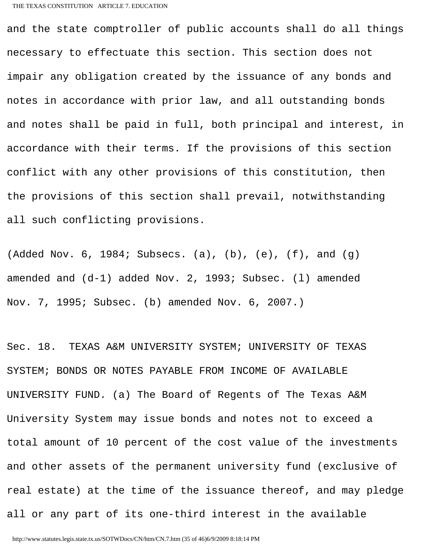and the state comptroller of public accounts shall do all things necessary to effectuate this section. This section does not impair any obligation created by the issuance of any bonds and notes in accordance with prior law, and all outstanding bonds and notes shall be paid in full, both principal and interest, in accordance with their terms. If the provisions of this section conflict with any other provisions of this constitution, then the provisions of this section shall prevail, notwithstanding all such conflicting provisions.

(Added Nov.  $6$ , 1984; Subsecs. (a), (b), (e), (f), and (g) amended and (d-1) added Nov. 2, 1993; Subsec. (l) amended Nov. 7, 1995; Subsec. (b) amended Nov. 6, 2007.)

Sec. 18. TEXAS A&M UNIVERSITY SYSTEM; UNIVERSITY OF TEXAS SYSTEM; BONDS OR NOTES PAYABLE FROM INCOME OF AVAILABLE UNIVERSITY FUND. (a) The Board of Regents of The Texas A&M University System may issue bonds and notes not to exceed a total amount of 10 percent of the cost value of the investments and other assets of the permanent university fund (exclusive of real estate) at the time of the issuance thereof, and may pledge all or any part of its one-third interest in the available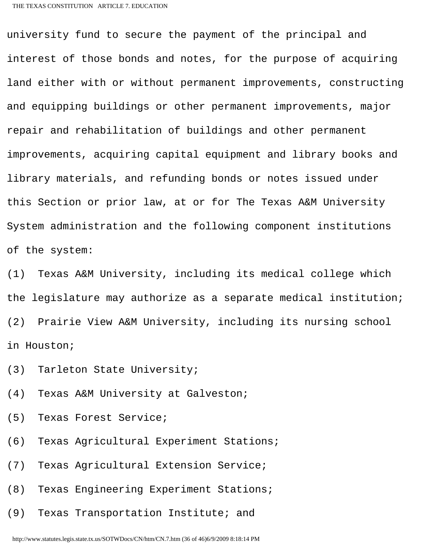university fund to secure the payment of the principal and interest of those bonds and notes, for the purpose of acquiring land either with or without permanent improvements, constructing and equipping buildings or other permanent improvements, major repair and rehabilitation of buildings and other permanent improvements, acquiring capital equipment and library books and library materials, and refunding bonds or notes issued under this Section or prior law, at or for The Texas A&M University System administration and the following component institutions of the system:

(1) Texas A&M University, including its medical college which the legislature may authorize as a separate medical institution; (2) Prairie View A&M University, including its nursing school in Houston;

(3) Tarleton State University;

(4) Texas A&M University at Galveston;

(5) Texas Forest Service;

(6) Texas Agricultural Experiment Stations;

(7) Texas Agricultural Extension Service;

(8) Texas Engineering Experiment Stations;

(9) Texas Transportation Institute; and

http://www.statutes.legis.state.tx.us/SOTWDocs/CN/htm/CN.7.htm (36 of 46)6/9/2009 8:18:14 PM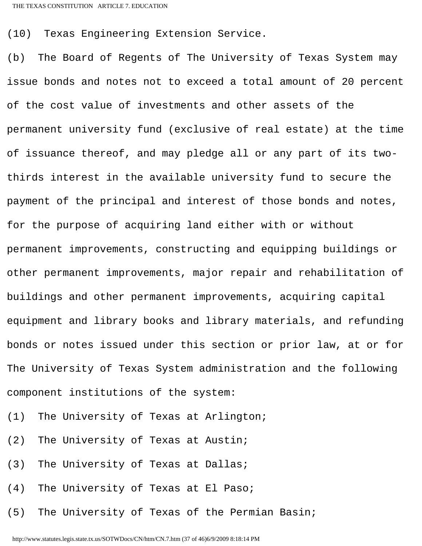(10) Texas Engineering Extension Service.

(b) The Board of Regents of The University of Texas System may issue bonds and notes not to exceed a total amount of 20 percent of the cost value of investments and other assets of the permanent university fund (exclusive of real estate) at the time of issuance thereof, and may pledge all or any part of its twothirds interest in the available university fund to secure the payment of the principal and interest of those bonds and notes, for the purpose of acquiring land either with or without permanent improvements, constructing and equipping buildings or other permanent improvements, major repair and rehabilitation of buildings and other permanent improvements, acquiring capital equipment and library books and library materials, and refunding bonds or notes issued under this section or prior law, at or for The University of Texas System administration and the following component institutions of the system:

- (1) The University of Texas at Arlington;
- (2) The University of Texas at Austin;
- (3) The University of Texas at Dallas;
- (4) The University of Texas at El Paso;
- (5) The University of Texas of the Permian Basin;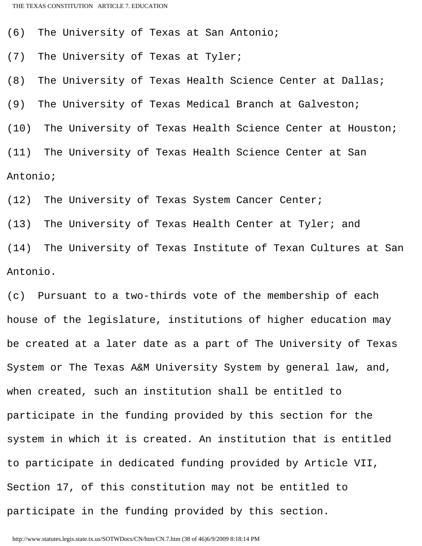(6) The University of Texas at San Antonio;

(7) The University of Texas at Tyler;

(8) The University of Texas Health Science Center at Dallas;

(9) The University of Texas Medical Branch at Galveston;

(10) The University of Texas Health Science Center at Houston;

(11) The University of Texas Health Science Center at San Antonio;

(12) The University of Texas System Cancer Center;

(13) The University of Texas Health Center at Tyler; and

(14) The University of Texas Institute of Texan Cultures at San Antonio.

(c) Pursuant to a two-thirds vote of the membership of each house of the legislature, institutions of higher education may be created at a later date as a part of The University of Texas System or The Texas A&M University System by general law, and, when created, such an institution shall be entitled to participate in the funding provided by this section for the system in which it is created. An institution that is entitled to participate in dedicated funding provided by Article VII, Section 17, of this constitution may not be entitled to participate in the funding provided by this section.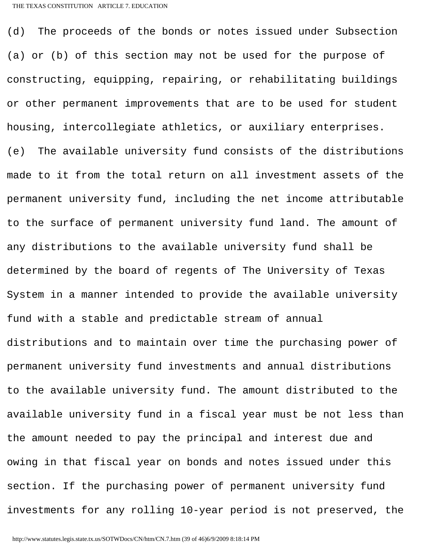(d) The proceeds of the bonds or notes issued under Subsection (a) or (b) of this section may not be used for the purpose of constructing, equipping, repairing, or rehabilitating buildings or other permanent improvements that are to be used for student housing, intercollegiate athletics, or auxiliary enterprises. (e) The available university fund consists of the distributions made to it from the total return on all investment assets of the permanent university fund, including the net income attributable to the surface of permanent university fund land. The amount of any distributions to the available university fund shall be determined by the board of regents of The University of Texas System in a manner intended to provide the available university fund with a stable and predictable stream of annual distributions and to maintain over time the purchasing power of permanent university fund investments and annual distributions to the available university fund. The amount distributed to the available university fund in a fiscal year must be not less than the amount needed to pay the principal and interest due and owing in that fiscal year on bonds and notes issued under this section. If the purchasing power of permanent university fund investments for any rolling 10-year period is not preserved, the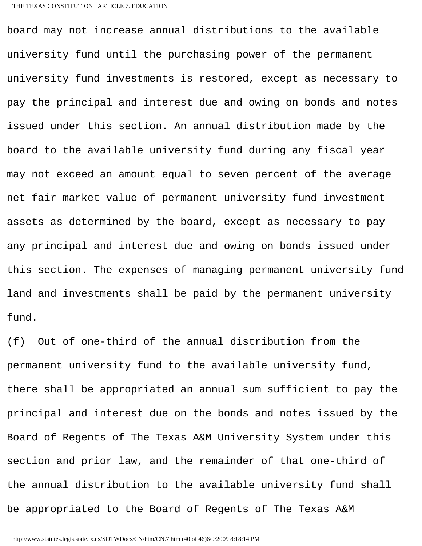board may not increase annual distributions to the available university fund until the purchasing power of the permanent university fund investments is restored, except as necessary to pay the principal and interest due and owing on bonds and notes issued under this section. An annual distribution made by the board to the available university fund during any fiscal year may not exceed an amount equal to seven percent of the average net fair market value of permanent university fund investment assets as determined by the board, except as necessary to pay any principal and interest due and owing on bonds issued under this section. The expenses of managing permanent university fund land and investments shall be paid by the permanent university fund.

(f) Out of one-third of the annual distribution from the permanent university fund to the available university fund, there shall be appropriated an annual sum sufficient to pay the principal and interest due on the bonds and notes issued by the Board of Regents of The Texas A&M University System under this section and prior law, and the remainder of that one-third of the annual distribution to the available university fund shall be appropriated to the Board of Regents of The Texas A&M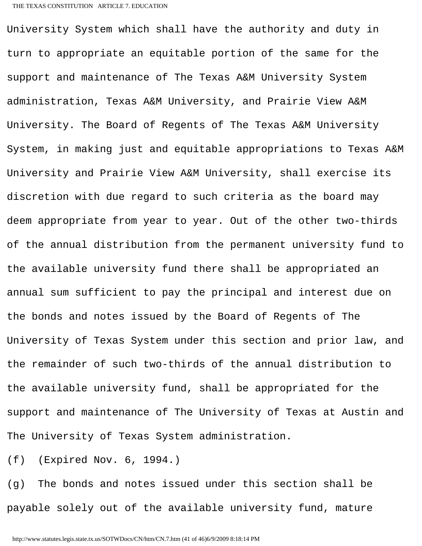University System which shall have the authority and duty in turn to appropriate an equitable portion of the same for the support and maintenance of The Texas A&M University System administration, Texas A&M University, and Prairie View A&M University. The Board of Regents of The Texas A&M University System, in making just and equitable appropriations to Texas A&M University and Prairie View A&M University, shall exercise its discretion with due regard to such criteria as the board may deem appropriate from year to year. Out of the other two-thirds of the annual distribution from the permanent university fund to the available university fund there shall be appropriated an annual sum sufficient to pay the principal and interest due on the bonds and notes issued by the Board of Regents of The University of Texas System under this section and prior law, and the remainder of such two-thirds of the annual distribution to the available university fund, shall be appropriated for the support and maintenance of The University of Texas at Austin and The University of Texas System administration.

(f) (Expired Nov. 6, 1994.)

(g) The bonds and notes issued under this section shall be payable solely out of the available university fund, mature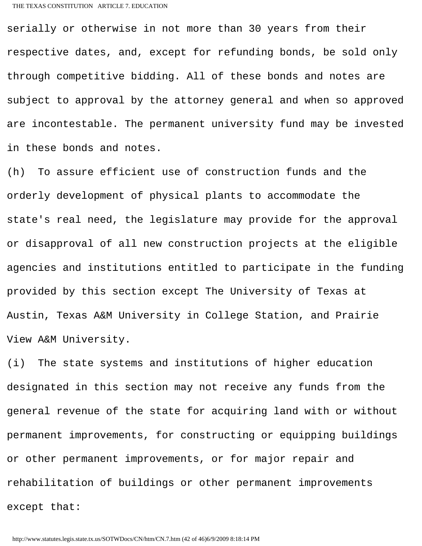serially or otherwise in not more than 30 years from their respective dates, and, except for refunding bonds, be sold only through competitive bidding. All of these bonds and notes are subject to approval by the attorney general and when so approved are incontestable. The permanent university fund may be invested in these bonds and notes.

(h) To assure efficient use of construction funds and the orderly development of physical plants to accommodate the state's real need, the legislature may provide for the approval or disapproval of all new construction projects at the eligible agencies and institutions entitled to participate in the funding provided by this section except The University of Texas at Austin, Texas A&M University in College Station, and Prairie View A&M University.

(i) The state systems and institutions of higher education designated in this section may not receive any funds from the general revenue of the state for acquiring land with or without permanent improvements, for constructing or equipping buildings or other permanent improvements, or for major repair and rehabilitation of buildings or other permanent improvements except that: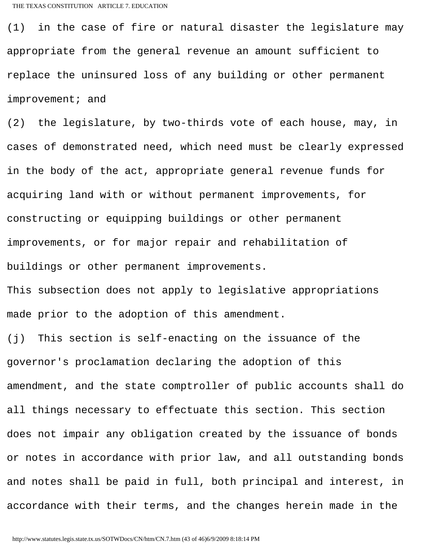(1) in the case of fire or natural disaster the legislature may appropriate from the general revenue an amount sufficient to replace the uninsured loss of any building or other permanent improvement; and

(2) the legislature, by two-thirds vote of each house, may, in cases of demonstrated need, which need must be clearly expressed in the body of the act, appropriate general revenue funds for acquiring land with or without permanent improvements, for constructing or equipping buildings or other permanent improvements, or for major repair and rehabilitation of buildings or other permanent improvements.

This subsection does not apply to legislative appropriations made prior to the adoption of this amendment.

(j) This section is self-enacting on the issuance of the governor's proclamation declaring the adoption of this amendment, and the state comptroller of public accounts shall do all things necessary to effectuate this section. This section does not impair any obligation created by the issuance of bonds or notes in accordance with prior law, and all outstanding bonds and notes shall be paid in full, both principal and interest, in accordance with their terms, and the changes herein made in the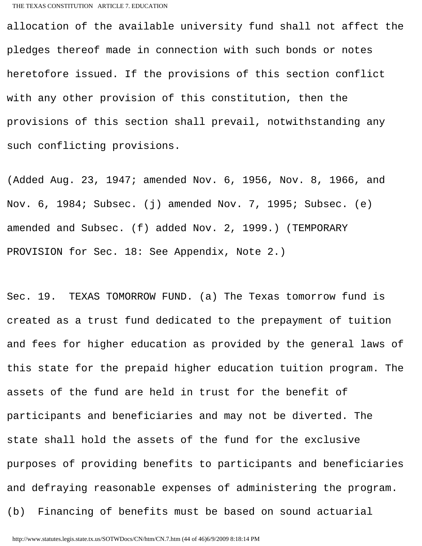allocation of the available university fund shall not affect the pledges thereof made in connection with such bonds or notes heretofore issued. If the provisions of this section conflict with any other provision of this constitution, then the provisions of this section shall prevail, notwithstanding any such conflicting provisions.

(Added Aug. 23, 1947; amended Nov. 6, 1956, Nov. 8, 1966, and Nov. 6, 1984; Subsec. (j) amended Nov. 7, 1995; Subsec. (e) amended and Subsec. (f) added Nov. 2, 1999.) (TEMPORARY PROVISION for Sec. 18: See Appendix, Note 2.)

Sec. 19. TEXAS TOMORROW FUND. (a) The Texas tomorrow fund is created as a trust fund dedicated to the prepayment of tuition and fees for higher education as provided by the general laws of this state for the prepaid higher education tuition program. The assets of the fund are held in trust for the benefit of participants and beneficiaries and may not be diverted. The state shall hold the assets of the fund for the exclusive purposes of providing benefits to participants and beneficiaries and defraying reasonable expenses of administering the program. (b) Financing of benefits must be based on sound actuarial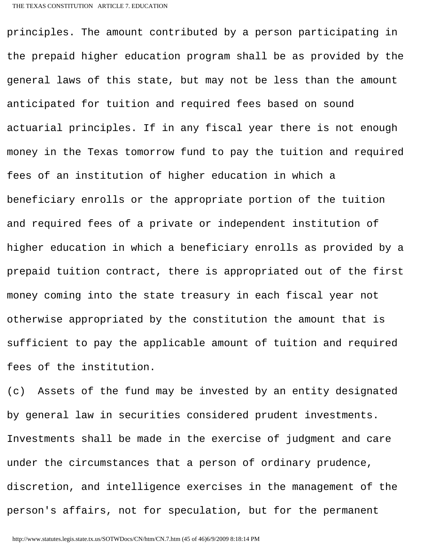principles. The amount contributed by a person participating in the prepaid higher education program shall be as provided by the general laws of this state, but may not be less than the amount anticipated for tuition and required fees based on sound actuarial principles. If in any fiscal year there is not enough money in the Texas tomorrow fund to pay the tuition and required fees of an institution of higher education in which a beneficiary enrolls or the appropriate portion of the tuition and required fees of a private or independent institution of higher education in which a beneficiary enrolls as provided by a prepaid tuition contract, there is appropriated out of the first money coming into the state treasury in each fiscal year not otherwise appropriated by the constitution the amount that is sufficient to pay the applicable amount of tuition and required fees of the institution.

(c) Assets of the fund may be invested by an entity designated by general law in securities considered prudent investments. Investments shall be made in the exercise of judgment and care under the circumstances that a person of ordinary prudence, discretion, and intelligence exercises in the management of the person's affairs, not for speculation, but for the permanent